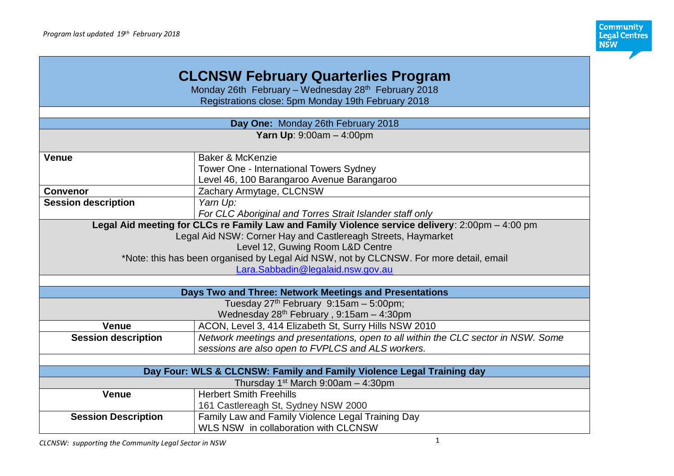

| <b>CLCNSW February Quarterlies Program</b>          |                                                                                                 |  |
|-----------------------------------------------------|-------------------------------------------------------------------------------------------------|--|
| Monday 26th February - Wednesday 28th February 2018 |                                                                                                 |  |
| Registrations close: 5pm Monday 19th February 2018  |                                                                                                 |  |
|                                                     |                                                                                                 |  |
|                                                     | Day One: Monday 26th February 2018                                                              |  |
|                                                     | <b>Yarn Up: 9:00am - 4:00pm</b>                                                                 |  |
|                                                     |                                                                                                 |  |
| <b>Venue</b>                                        | Baker & McKenzie                                                                                |  |
|                                                     | Tower One - International Towers Sydney                                                         |  |
|                                                     | Level 46, 100 Barangaroo Avenue Barangaroo                                                      |  |
| <b>Convenor</b>                                     | Zachary Armytage, CLCNSW                                                                        |  |
| <b>Session description</b>                          | Yarn Up:                                                                                        |  |
|                                                     | For CLC Aboriginal and Torres Strait Islander staff only                                        |  |
|                                                     | Legal Aid meeting for CLCs re Family Law and Family Violence service delivery: 2:00pm - 4:00 pm |  |
|                                                     | Legal Aid NSW: Corner Hay and Castlereagh Streets, Haymarket                                    |  |
|                                                     | Level 12, Guwing Room L&D Centre                                                                |  |
|                                                     | *Note: this has been organised by Legal Aid NSW, not by CLCNSW. For more detail, email          |  |
|                                                     | Lara.Sabbadin@legalaid.nsw.gov.au                                                               |  |
|                                                     |                                                                                                 |  |
|                                                     | Days Two and Three: Network Meetings and Presentations                                          |  |
|                                                     | Tuesday 27th February 9:15am - 5:00pm;                                                          |  |
|                                                     | Wednesday 28 <sup>th</sup> February, 9:15am - 4:30pm                                            |  |
| <b>Venue</b>                                        | ACON, Level 3, 414 Elizabeth St, Surry Hills NSW 2010                                           |  |
| <b>Session description</b>                          | Network meetings and presentations, open to all within the CLC sector in NSW. Some              |  |
|                                                     | sessions are also open to FVPLCS and ALS workers.                                               |  |
|                                                     |                                                                                                 |  |
|                                                     | Day Four: WLS & CLCNSW: Family and Family Violence Legal Training day                           |  |
|                                                     | Thursday $1st$ March 9:00am $-$ 4:30pm                                                          |  |
| <b>Venue</b>                                        | <b>Herbert Smith Freehills</b>                                                                  |  |
|                                                     | 161 Castlereagh St, Sydney NSW 2000                                                             |  |
| <b>Session Description</b>                          | Family Law and Family Violence Legal Training Day                                               |  |
|                                                     | WLS NSW in collaboration with CLCNSW                                                            |  |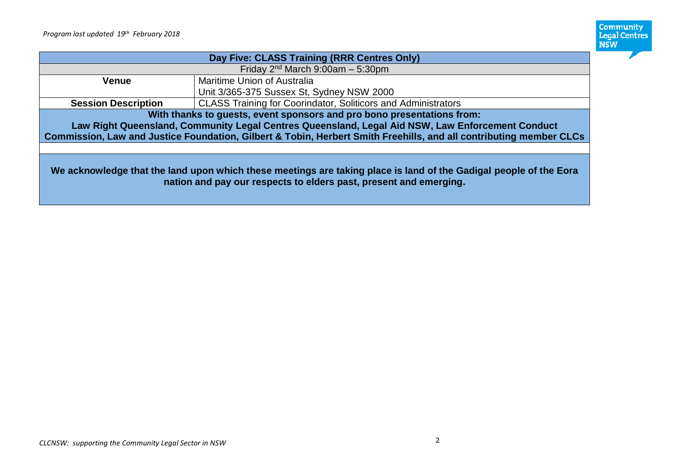

| Day Five: CLASS Training (RRR Centres Only)                                                                                                                                            |                                                                      |  |
|----------------------------------------------------------------------------------------------------------------------------------------------------------------------------------------|----------------------------------------------------------------------|--|
|                                                                                                                                                                                        | Friday $2nd$ March 9:00am $-$ 5:30pm                                 |  |
| Venue                                                                                                                                                                                  | Maritime Union of Australia                                          |  |
|                                                                                                                                                                                        | Unit 3/365-375 Sussex St, Sydney NSW 2000                            |  |
| <b>Session Description</b>                                                                                                                                                             | <b>CLASS Training for Coorindator, Soliticors and Administrators</b> |  |
| With thanks to guests, event sponsors and pro bono presentations from:                                                                                                                 |                                                                      |  |
| Law Right Queensland, Community Legal Centres Queensland, Legal Aid NSW, Law Enforcement Conduct                                                                                       |                                                                      |  |
| Commission, Law and Justice Foundation, Gilbert & Tobin, Herbert Smith Freehills, and all contributing member CLCs                                                                     |                                                                      |  |
|                                                                                                                                                                                        |                                                                      |  |
| We acknowledge that the land upon which these meetings are taking place is land of the Gadigal people of the Eora<br>nation and pay our respects to elders past, present and emerging. |                                                                      |  |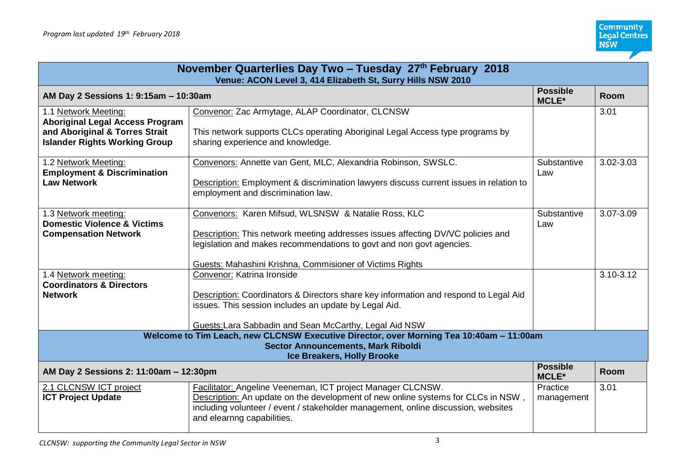| November Quarterlies Day Two - Tuesday 27th February 2018<br>Venue: ACON Level 3, 414 Elizabeth St, Surry Hills NSW 2010                                           |                                                                                                                                                                                                                                                                                          |                                 |               |
|--------------------------------------------------------------------------------------------------------------------------------------------------------------------|------------------------------------------------------------------------------------------------------------------------------------------------------------------------------------------------------------------------------------------------------------------------------------------|---------------------------------|---------------|
| AM Day 2 Sessions 1: 9:15am - 10:30am                                                                                                                              |                                                                                                                                                                                                                                                                                          | <b>Possible</b><br><b>MCLE*</b> | <b>Room</b>   |
| 1.1 Network Meeting:<br><b>Aboriginal Legal Access Program</b><br>and Aboriginal & Torres Strait<br><b>Islander Rights Working Group</b>                           | Convenor: Zac Armytage, ALAP Coordinator, CLCNSW<br>This network supports CLCs operating Aboriginal Legal Access type programs by<br>sharing experience and knowledge.                                                                                                                   |                                 | 3.01          |
| 1.2 Network Meeting:<br><b>Employment &amp; Discrimination</b><br><b>Law Network</b>                                                                               | Convenors: Annette van Gent, MLC, Alexandria Robinson, SWSLC.<br>Description: Employment & discrimination lawyers discuss current issues in relation to<br>employment and discrimination law.                                                                                            | Substantive<br>Law              | 3.02-3.03     |
| 1.3 Network meeting:<br><b>Domestic Violence &amp; Victims</b><br><b>Compensation Network</b>                                                                      | Convenors: Karen Mifsud, WLSNSW & Natalie Ross, KLC<br><b>Description:</b> This network meeting addresses issues affecting DV/VC policies and<br>legislation and makes recommendations to govt and non govt agencies.<br><b>Guests: Mahashini Krishna, Commisioner of Victims Rights</b> | Substantive<br>Law              | 3.07-3.09     |
| 1.4 Network meeting:<br><b>Coordinators &amp; Directors</b><br><b>Network</b>                                                                                      | Convenor: Katrina Ironside<br>Description: Coordinators & Directors share key information and respond to Legal Aid<br>issues. This session includes an update by Legal Aid.<br>Guests: Lara Sabbadin and Sean McCarthy, Legal Aid NSW                                                    |                                 | $3.10 - 3.12$ |
| Welcome to Tim Leach, new CLCNSW Executive Director, over Morning Tea 10:40am - 11:00am<br><b>Sector Announcements, Mark Riboldi</b><br>Ice Breakers, Holly Brooke |                                                                                                                                                                                                                                                                                          |                                 |               |
| AM Day 2 Sessions 2: 11:00am - 12:30pm                                                                                                                             |                                                                                                                                                                                                                                                                                          | <b>Possible</b><br><b>MCLE*</b> | <b>Room</b>   |
| 2.1 CLCNSW ICT project<br><b>ICT Project Update</b>                                                                                                                | Facilitator: Angeline Veeneman, ICT project Manager CLCNSW.<br>Description: An update on the development of new online systems for CLCs in NSW,<br>including volunteer / event / stakeholder management, online discussion, websites<br>and elearnng capabilities.                       | Practice<br>management          | 3.01          |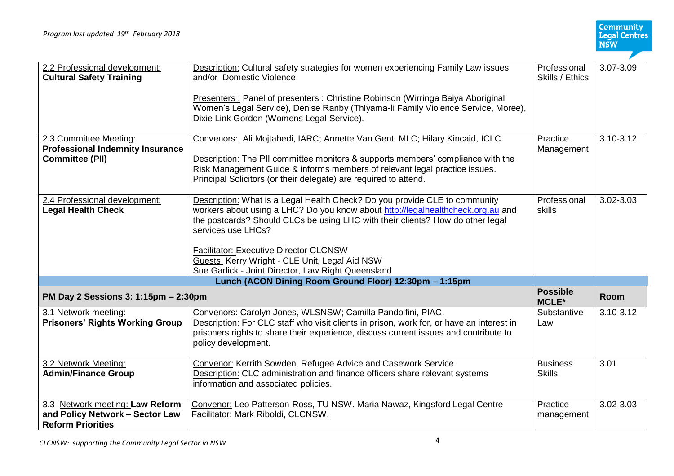| 2.2 Professional development:<br><b>Cultural Safety Training</b>                               | <b>Description:</b> Cultural safety strategies for women experiencing Family Law issues<br>and/or Domestic Violence<br>Presenters : Panel of presenters : Christine Robinson (Wirringa Baiya Aboriginal<br>Women's Legal Service), Denise Ranby (Thiyama-li Family Violence Service, Moree),<br>Dixie Link Gordon (Womens Legal Service).                                                                                      | Professional<br>Skills / Ethics  | 3.07-3.09 |
|------------------------------------------------------------------------------------------------|--------------------------------------------------------------------------------------------------------------------------------------------------------------------------------------------------------------------------------------------------------------------------------------------------------------------------------------------------------------------------------------------------------------------------------|----------------------------------|-----------|
| 2.3 Committee Meeting:<br><b>Professional Indemnity Insurance</b><br><b>Committee (PII)</b>    | Convenors: Ali Mojtahedi, IARC; Annette Van Gent, MLC; Hilary Kincaid, ICLC.<br>Description: The PII committee monitors & supports members' compliance with the<br>Risk Management Guide & informs members of relevant legal practice issues.<br>Principal Solicitors (or their delegate) are required to attend.                                                                                                              | Practice<br>Management           | 3.10-3.12 |
| 2.4 Professional development:<br><b>Legal Health Check</b>                                     | Description: What is a Legal Health Check? Do you provide CLE to community<br>workers about using a LHC? Do you know about http://legalhealthcheck.org.au and<br>the postcards? Should CLCs be using LHC with their clients? How do other legal<br>services use LHCs?<br><b>Facilitator: Executive Director CLCNSW</b><br>Guests: Kerry Wright - CLE Unit, Legal Aid NSW<br>Sue Garlick - Joint Director, Law Right Queensland | Professional<br>skills           | 3.02-3.03 |
|                                                                                                | Lunch (ACON Dining Room Ground Floor) 12:30pm - 1:15pm                                                                                                                                                                                                                                                                                                                                                                         |                                  |           |
| PM Day 2 Sessions 3: 1:15pm - 2:30pm                                                           |                                                                                                                                                                                                                                                                                                                                                                                                                                | <b>Possible</b><br><b>MCLE*</b>  | Room      |
| 3.1 Network meeting:<br><b>Prisoners' Rights Working Group</b>                                 | Convenors: Carolyn Jones, WLSNSW; Camilla Pandolfini, PIAC.<br>Description: For CLC staff who visit clients in prison, work for, or have an interest in<br>prisoners rights to share their experience, discuss current issues and contribute to<br>policy development.                                                                                                                                                         | Substantive<br>Law               | 3.10-3.12 |
| 3.2 Network Meeting:<br><b>Admin/Finance Group</b>                                             | Convenor: Kerrith Sowden, Refugee Advice and Casework Service<br>Description: CLC administration and finance officers share relevant systems<br>information and associated policies.                                                                                                                                                                                                                                           | <b>Business</b><br><b>Skills</b> | 3.01      |
| 3.3 Network meeting: Law Reform<br>and Policy Network - Sector Law<br><b>Reform Priorities</b> | Convenor: Leo Patterson-Ross, TU NSW. Maria Nawaz, Kingsford Legal Centre<br>Facilitator: Mark Riboldi, CLCNSW.                                                                                                                                                                                                                                                                                                                | Practice<br>management           | 3.02-3.03 |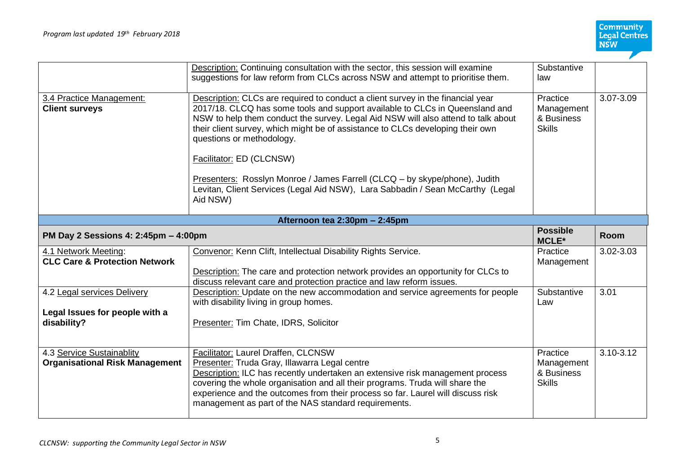|                                                                  | Description: Continuing consultation with the sector, this session will examine<br>suggestions for law reform from CLCs across NSW and attempt to prioritise them.                                                                                                                                                                                                  | Substantive<br>law                                    |             |
|------------------------------------------------------------------|---------------------------------------------------------------------------------------------------------------------------------------------------------------------------------------------------------------------------------------------------------------------------------------------------------------------------------------------------------------------|-------------------------------------------------------|-------------|
| 3.4 Practice Management:<br><b>Client surveys</b>                | Description: CLCs are required to conduct a client survey in the financial year<br>2017/18. CLCQ has some tools and support available to CLCs in Queensland and<br>NSW to help them conduct the survey. Legal Aid NSW will also attend to talk about<br>their client survey, which might be of assistance to CLCs developing their own<br>questions or methodology. | Practice<br>Management<br>& Business<br><b>Skills</b> | 3.07-3.09   |
|                                                                  | Facilitator: ED (CLCNSW)                                                                                                                                                                                                                                                                                                                                            |                                                       |             |
|                                                                  | Presenters: Rosslyn Monroe / James Farrell (CLCQ – by skype/phone), Judith<br>Levitan, Client Services (Legal Aid NSW), Lara Sabbadin / Sean McCarthy (Legal<br>Aid NSW)                                                                                                                                                                                            |                                                       |             |
|                                                                  | Afternoon tea 2:30pm - 2:45pm                                                                                                                                                                                                                                                                                                                                       |                                                       |             |
| PM Day 2 Sessions 4: 2:45pm - 4:00pm                             |                                                                                                                                                                                                                                                                                                                                                                     | <b>Possible</b><br><b>MCLE*</b>                       | <b>Room</b> |
|                                                                  |                                                                                                                                                                                                                                                                                                                                                                     |                                                       |             |
| 4.1 Network Meeting:<br><b>CLC Care &amp; Protection Network</b> | Convenor: Kenn Clift, Intellectual Disability Rights Service.<br><b>Description:</b> The care and protection network provides an opportunity for CLCs to                                                                                                                                                                                                            | Practice<br>Management                                | 3.02-3.03   |
| 4.2 Legal services Delivery                                      | discuss relevant care and protection practice and law reform issues.<br>Description: Update on the new accommodation and service agreements for people<br>with disability living in group homes.                                                                                                                                                                    | Substantive<br>Law                                    | 3.01        |
| Legal Issues for people with a<br>disability?                    | Presenter: Tim Chate, IDRS, Solicitor                                                                                                                                                                                                                                                                                                                               |                                                       |             |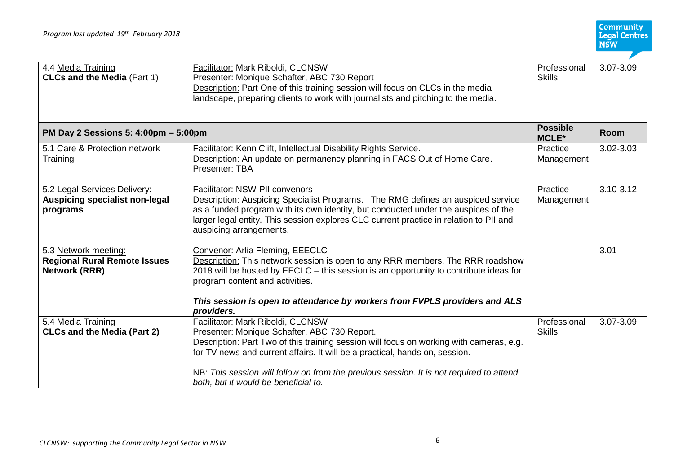**Community<br>Legal Centres<br>NSW** 7

| 4.4 Media Training<br><b>CLCs and the Media (Part 1)</b>                            | <b>Facilitator: Mark Riboldi, CLCNSW</b><br>Presenter: Monique Schafter, ABC 730 Report<br>Description: Part One of this training session will focus on CLCs in the media<br>landscape, preparing clients to work with journalists and pitching to the media.                                                                                                                                  | Professional<br><b>Skills</b>   | 3.07-3.09     |
|-------------------------------------------------------------------------------------|------------------------------------------------------------------------------------------------------------------------------------------------------------------------------------------------------------------------------------------------------------------------------------------------------------------------------------------------------------------------------------------------|---------------------------------|---------------|
| PM Day 2 Sessions 5: 4:00pm - 5:00pm                                                |                                                                                                                                                                                                                                                                                                                                                                                                | <b>Possible</b><br><b>MCLE*</b> | <b>Room</b>   |
| 5.1 Care & Protection network<br>Training                                           | <b>Facilitator:</b> Kenn Clift, Intellectual Disability Rights Service.<br>Description: An update on permanency planning in FACS Out of Home Care.<br>Presenter: TBA                                                                                                                                                                                                                           | Practice<br>Management          | 3.02-3.03     |
| 5.2 Legal Services Delivery:<br><b>Auspicing specialist non-legal</b><br>programs   | Facilitator: NSW PII convenors<br>Description: Auspicing Specialist Programs. The RMG defines an auspiced service<br>as a funded program with its own identity, but conducted under the auspices of the<br>larger legal entity. This session explores CLC current practice in relation to PII and<br>auspicing arrangements.                                                                   | Practice<br>Management          | $3.10 - 3.12$ |
| 5.3 Network meeting:<br><b>Regional Rural Remote Issues</b><br><b>Network (RRR)</b> | Convenor: Arlia Fleming, EEECLC<br>Description: This network session is open to any RRR members. The RRR roadshow<br>2018 will be hosted by EECLC - this session is an opportunity to contribute ideas for<br>program content and activities.<br>This session is open to attendance by workers from FVPLS providers and ALS<br>providers.                                                      |                                 | 3.01          |
| 5.4 Media Training<br><b>CLCs and the Media (Part 2)</b>                            | Facilitator: Mark Riboldi, CLCNSW<br>Presenter: Monique Schafter, ABC 730 Report.<br>Description: Part Two of this training session will focus on working with cameras, e.g.<br>for TV news and current affairs. It will be a practical, hands on, session.<br>NB: This session will follow on from the previous session. It is not required to attend<br>both, but it would be beneficial to. | Professional<br><b>Skills</b>   | 3.07-3.09     |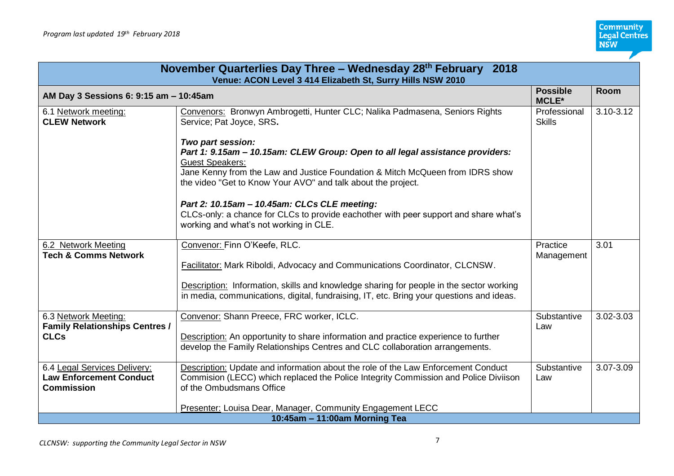| November Quarterlies Day Three - Wednesday 28 <sup>th</sup> February 2018<br>Venue: ACON Level 3 414 Elizabeth St, Surry Hills NSW 2010 |                                                                                                                                                                                                                                                                                                                               |                                 |           |
|-----------------------------------------------------------------------------------------------------------------------------------------|-------------------------------------------------------------------------------------------------------------------------------------------------------------------------------------------------------------------------------------------------------------------------------------------------------------------------------|---------------------------------|-----------|
| AM Day 3 Sessions 6: 9:15 am - 10:45am                                                                                                  |                                                                                                                                                                                                                                                                                                                               | <b>Possible</b><br><b>MCLE*</b> | Room      |
| 6.1 Network meeting:<br><b>CLEW Network</b>                                                                                             | Convenors: Bronwyn Ambrogetti, Hunter CLC; Nalika Padmasena, Seniors Rights<br>Service; Pat Joyce, SRS.                                                                                                                                                                                                                       | Professional<br><b>Skills</b>   | 3.10-3.12 |
|                                                                                                                                         | Two part session:<br>Part 1: 9.15am - 10.15am: CLEW Group: Open to all legal assistance providers:<br><b>Guest Speakers:</b><br>Jane Kenny from the Law and Justice Foundation & Mitch McQueen from IDRS show<br>the video "Get to Know Your AVO" and talk about the project.<br>Part 2: 10.15am - 10.45am: CLCs CLE meeting: |                                 |           |
|                                                                                                                                         | CLCs-only: a chance for CLCs to provide eachother with peer support and share what's<br>working and what's not working in CLE.                                                                                                                                                                                                |                                 |           |
| 6.2 Network Meeting<br><b>Tech &amp; Comms Network</b>                                                                                  | Convenor: Finn O'Keefe, RLC.<br>Facilitator: Mark Riboldi, Advocacy and Communications Coordinator, CLCNSW.<br>Description: Information, skills and knowledge sharing for people in the sector working<br>in media, communications, digital, fundraising, IT, etc. Bring your questions and ideas.                            | Practice<br>Management          | 3.01      |
| 6.3 Network Meeting:<br><b>Family Relationships Centres /</b><br><b>CLCs</b>                                                            | Convenor: Shann Preece, FRC worker, ICLC.<br>Description: An opportunity to share information and practice experience to further<br>develop the Family Relationships Centres and CLC collaboration arrangements.                                                                                                              | Substantive<br>Law              | 3.02-3.03 |
| 6.4 Legal Services Delivery:<br><b>Law Enforcement Conduct</b><br><b>Commission</b>                                                     | Description: Update and information about the role of the Law Enforcement Conduct<br>Commision (LECC) which replaced the Police Integrity Commission and Police Diviison<br>of the Ombudsmans Office                                                                                                                          | Substantive<br>Law              | 3.07-3.09 |
|                                                                                                                                         | Presenter: Louisa Dear, Manager, Community Engagement LECC                                                                                                                                                                                                                                                                    |                                 |           |
| 10:45am - 11:00am Morning Tea                                                                                                           |                                                                                                                                                                                                                                                                                                                               |                                 |           |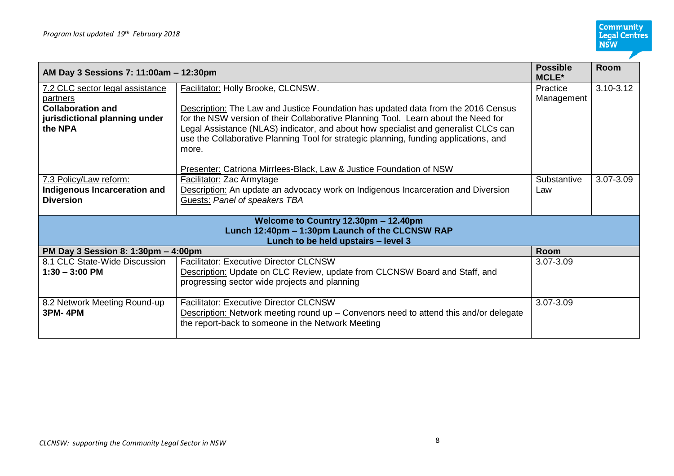| AM Day 3 Sessions 7: 11:00am - 12:30pm                                                                                         |                                                                                                                                                                                                                                                                                                                                                                                                                                                                                                 | <b>Possible</b><br><b>MCLE*</b> | <b>Room</b>   |
|--------------------------------------------------------------------------------------------------------------------------------|-------------------------------------------------------------------------------------------------------------------------------------------------------------------------------------------------------------------------------------------------------------------------------------------------------------------------------------------------------------------------------------------------------------------------------------------------------------------------------------------------|---------------------------------|---------------|
| 7.2 CLC sector legal assistance<br>partners<br><b>Collaboration and</b><br>jurisdictional planning under<br>the NPA            | Facilitator: Holly Brooke, CLCNSW.<br><b>Description:</b> The Law and Justice Foundation has updated data from the 2016 Census<br>for the NSW version of their Collaborative Planning Tool. Learn about the Need for<br>Legal Assistance (NLAS) indicator, and about how specialist and generalist CLCs can<br>use the Collaborative Planning Tool for strategic planning, funding applications, and<br>more.<br><b>Presenter: Catriona Mirrlees-Black, Law &amp; Justice Foundation of NSW</b> | Practice<br>Management          | $3.10 - 3.12$ |
| 7.3 Policy/Law reform:<br>Indigenous Incarceration and<br><b>Diversion</b>                                                     | <b>Facilitator: Zac Armytage</b><br>Description: An update an advocacy work on Indigenous Incarceration and Diversion<br>Guests: Panel of speakers TBA                                                                                                                                                                                                                                                                                                                                          | Substantive<br>Law              | 3.07-3.09     |
| Welcome to Country 12.30pm - 12.40pm<br>Lunch 12:40pm - 1:30pm Launch of the CLCNSW RAP<br>Lunch to be held upstairs - level 3 |                                                                                                                                                                                                                                                                                                                                                                                                                                                                                                 |                                 |               |
| PM Day 3 Session 8: 1:30pm - 4:00pm                                                                                            |                                                                                                                                                                                                                                                                                                                                                                                                                                                                                                 | <b>Room</b>                     |               |
| 8.1 CLC State-Wide Discussion<br>$1:30 - 3:00$ PM                                                                              | <b>Facilitator: Executive Director CLCNSW</b><br>Description: Update on CLC Review, update from CLCNSW Board and Staff, and<br>progressing sector wide projects and planning                                                                                                                                                                                                                                                                                                                    | 3.07-3.09                       |               |
| 8.2 Network Meeting Round-up<br><b>3PM-4PM</b>                                                                                 | <b>Facilitator: Executive Director CLCNSW</b><br>Description: Network meeting round up - Convenors need to attend this and/or delegate<br>the report-back to someone in the Network Meeting                                                                                                                                                                                                                                                                                                     | 3.07-3.09                       |               |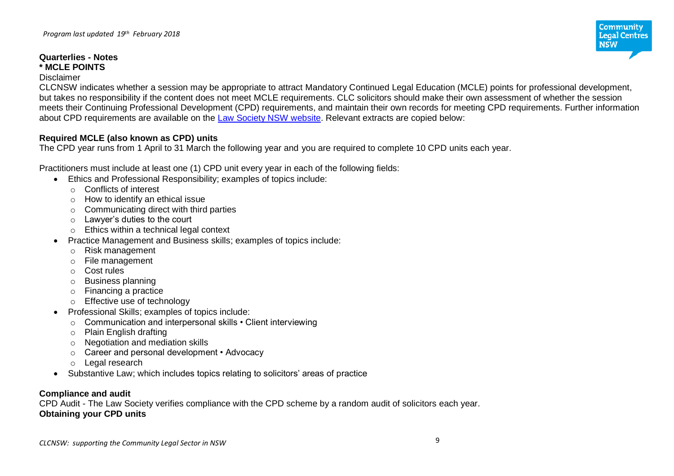#### **Quarterlies - Notes \* MCLE POINTS**

#### Disclaimer

CLCNSW indicates whether a session may be appropriate to attract Mandatory Continued Legal Education (MCLE) points for professional development, but takes no responsibility if the content does not meet MCLE requirements. CLC solicitors should make their own assessment of whether the session meets their Continuing Professional Development (CPD) requirements, and maintain their own records for meeting CPD requirements. Further information about CPD requirements are available on the [Law Society NSW website.](http://www.lawsociety.com.au/ForSolictors/practisinglawinnsw/mclecpd/index.htm) Relevant extracts are copied below:

### **Required MCLE (also known as CPD) units**

The CPD year runs from 1 April to 31 March the following year and you are required to complete 10 CPD units each year.

Practitioners must include at least one (1) CPD unit every year in each of the following fields:

- Ethics and Professional Responsibility; examples of topics include:
	- o Conflicts of interest
	- o How to identify an ethical issue
	- $\circ$  Communicating direct with third parties
	- o Lawyer's duties to the court
	- o Ethics within a technical legal context
- Practice Management and Business skills; examples of topics include:
	- o Risk management
	- o File management
	- o Cost rules
	- o Business planning
	- o Financing a practice
	- o Effective use of technology
- Professional Skills; examples of topics include:
	- o Communication and interpersonal skills Client interviewing
	- o Plain English drafting
	- o Negotiation and mediation skills
	- o Career and personal development Advocacy
	- o Legal research
- Substantive Law; which includes topics relating to solicitors' areas of practice

### **Compliance and audit**

CPD Audit - The Law Society verifies compliance with the CPD scheme by a random audit of solicitors each year. **Obtaining your CPD units**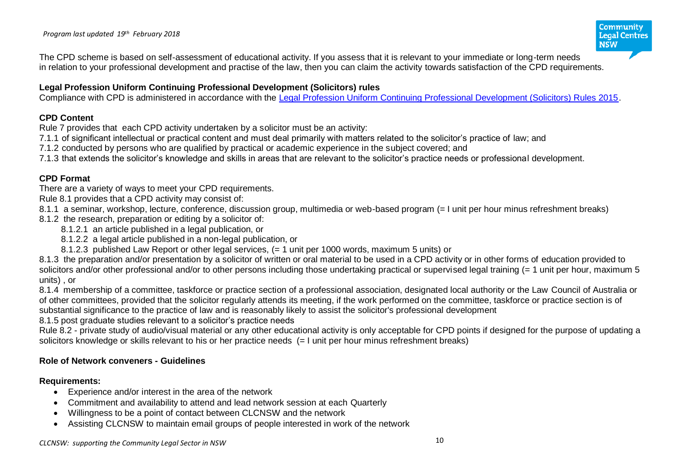The CPD scheme is based on self-assessment of educational activity. If you assess that it is relevant to your immediate or long-term needs in relation to your professional development and practise of the law, then you can claim the activity towards satisfaction of the CPD requirements.

### **Legal Profession Uniform Continuing Professional Development (Solicitors) rules**

Compliance with CPD is administered in accordance with the [Legal Profession Uniform Continuing Professional Development \(Solicitors\) Rules 2015.](http://www.lawsociety.com.au/cs/groups/public/documents/internetregistry/1055953.pdf)

### **CPD Content**

Rule 7 provides that each CPD activity undertaken by a solicitor must be an activity:

7.1.1 of significant intellectual or practical content and must deal primarily with matters related to the solicitor's practice of law; and

7.1.2 conducted by persons who are qualified by practical or academic experience in the subject covered; and

7.1.3 that extends the solicitor's knowledge and skills in areas that are relevant to the solicitor's practice needs or professional development.

# **CPD Format**

There are a variety of ways to meet your CPD requirements.

Rule 8.1 provides that a CPD activity may consist of:

8.1.1 a seminar, workshop, lecture, conference, discussion group, multimedia or web-based program (= I unit per hour minus refreshment breaks) 8.1.2 the research, preparation or editing by a solicitor of:

- 8.1.2.1 an article published in a legal publication, or
- 8.1.2.2 a legal article published in a non-legal publication, or
- 8.1.2.3 published Law Report or other legal services, (= 1 unit per 1000 words, maximum 5 units) or

8.1.3 the preparation and/or presentation by a solicitor of written or oral material to be used in a CPD activity or in other forms of education provided to solicitors and/or other professional and/or to other persons including those undertaking practical or supervised legal training (= 1 unit per hour, maximum 5 units) , or

8.1.4 membership of a committee, taskforce or practice section of a professional association, designated local authority or the Law Council of Australia or of other committees, provided that the solicitor regularly attends its meeting, if the work performed on the committee, taskforce or practice section is of substantial significance to the practice of law and is reasonably likely to assist the solicitor's professional development

8.1.5 post graduate studies relevant to a solicitor's practice needs

Rule 8.2 - private study of audio/visual material or any other educational activity is only acceptable for CPD points if designed for the purpose of updating a solicitors knowledge or skills relevant to his or her practice needs (= I unit per hour minus refreshment breaks)

# **Role of Network conveners - Guidelines**

# **Requirements:**

- Experience and/or interest in the area of the network
- Commitment and availability to attend and lead network session at each Quarterly
- Willingness to be a point of contact between CLCNSW and the network
- Assisting CLCNSW to maintain email groups of people interested in work of the network